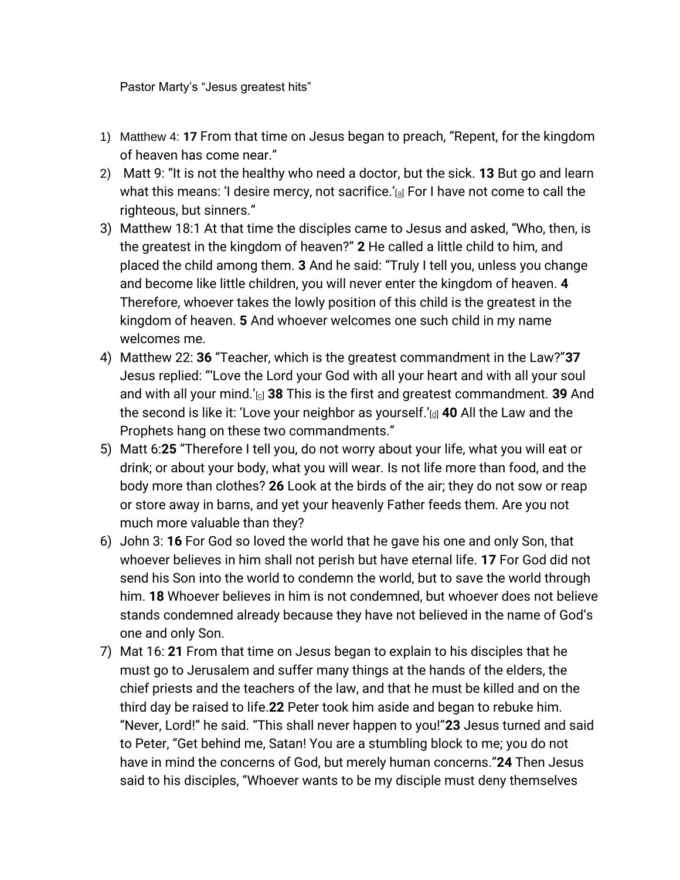Pastor Marty's "Jesus greatest hits"

- 1) Matthew 4: **17** From that time on Jesus began to preach, "Repent, for the kingdom of heaven has come near."
- 2) Matt 9: "It is not the healthy who need a doctor, but the sick. **13** But go and learn what this means: 'I desire mercy, not sacrifice.'[\[a\]](https://www.biblegateway.com/passage/?search=Matthew%209&version=NIV#fen-NIV-23393a) For I have not come to call the righteous, but sinners."
- 3) Matthew 18:1 At that time the disciples came to Jesus and asked, "Who, then, is the greatest in the kingdom of heaven?" **2** He called a little child to him, and placed the child among them. **3** And he said: "Truly I tell you, unless you change and become like little children, you will never enter the kingdom of heaven. **4**  Therefore, whoever takes the lowly position of this child is the greatest in the kingdom of heaven. **5** And whoever welcomes one such child in my name welcomes me.
- 4) Matthew 22: **36** "Teacher, which is the greatest commandment in the Law?"**37**  Jesus replied: "'Love the Lord your God with all your heart and with all your soul and with all your mind.'[\[c\]](https://www.biblegateway.com/passage/?search=Matthew%2022&version=NIV#fen-NIV-23910c) **38** This is the first and greatest commandment. **39** And the second is like it: 'Love your neighbor as yourself.'[\[d\]](https://www.biblegateway.com/passage/?search=Matthew%2022&version=NIV#fen-NIV-23912d) **40** All the Law and the Prophets hang on these two commandments."
- 5) Matt 6:**25** "Therefore I tell you, do not worry about your life, what you will eat or drink; or about your body, what you will wear. Is not life more than food, and the body more than clothes? **26** Look at the birds of the air; they do not sow or reap or store away in barns, and yet your heavenly Father feeds them. Are you not much more valuable than they?
- 6) John 3: **16** For God so loved the world that he gave his one and only Son, that whoever believes in him shall not perish but have eternal life. **17** For God did not send his Son into the world to condemn the world, but to save the world through him. **18** Whoever believes in him is not condemned, but whoever does not believe stands condemned already because they have not believed in the name of God's one and only Son.
- 7) Mat 16: **21** From that time on Jesus began to explain to his disciples that he must go to Jerusalem and suffer many things at the hands of the elders, the chief priests and the teachers of the law, and that he must be killed and on the third day be raised to life.**22** Peter took him aside and began to rebuke him. "Never, Lord!" he said. "This shall never happen to you!"**23** Jesus turned and said to Peter, "Get behind me, Satan! You are a stumbling block to me; you do not have in mind the concerns of God, but merely human concerns."**24** Then Jesus said to his disciples, "Whoever wants to be my disciple must deny themselves